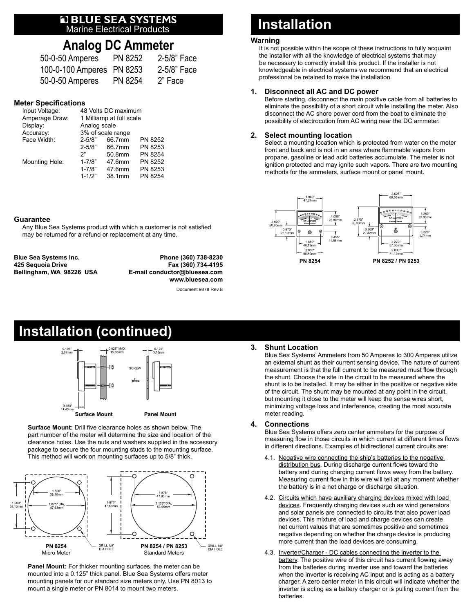# **E BLUE SEA SYSTEMS**<br>Marine Electrical Products

### **Analog DC Ammeter**

| 50-0-50 Amperes           | PN 8252 | 2-5/8" Face |
|---------------------------|---------|-------------|
| 100-0-100 Amperes PN 8253 |         | 2-5/8" Face |
| 50-0-50 Amperes           | PN 8254 | 2" Face     |

#### **Meter Specifications**

| Input Voltage: | 48 Volts DC maximum      |        |         |
|----------------|--------------------------|--------|---------|
| Amperage Draw: | 1 Milliamp at full scale |        |         |
| Display:       | Analog scale             |        |         |
| Accuracy:      | 3% of scale range        |        |         |
| Face Width:    | $2 - 5/8"$               | 66.7mm | PN 8252 |
|                | $2 - 5/8"$               | 66.7mm | PN 8253 |
|                | ን"                       | 50.8mm | PN 8254 |
| Mounting Hole: | $1 - 7/8"$               | 47.6mm | PN 8252 |
|                | $1 - 7/8"$               | 47.6mm | PN 8253 |
|                | $1 - 1/2"$               | 38.1mm | PN 8254 |

#### **Guarantee**

Any Blue Sea Systems product with which a customer is not satisfied may be returned for a refund or replacement at any time.

**Blue Sea Systems Inc. Phone (360) 738-8230 425 Sequoia Drive Fax (360) 734-4195**

**Bellingham, WA 98226 USA E-mail conductor@bluesea.com www.bluesea.com**

Document 9878 Rev.B

### **Installation (continued)**



**Surface Mount:** Drill five clearance holes as shown below. The part number of the meter will determine the size and location of the clearance holes. Use the nuts and washers supplied in the accessory package to secure the four mounting studs to the mounting surface. This method will work on mounting surfaces up to 5/8" thick.



**Panel Mount:** For thicker mounting surfaces, the meter can be mounted into a 0.125" thick panel. Blue Sea Systems offers meter mounting panels for our standard size meters only. Use PN 8013 to mount a single meter or PN 8014 to mount two meters.

## **Installation**

#### **Warning**

It is not possible within the scope of these instructions to fully acquaint the installer with all the knowledge of electrical systems that may be necessary to correctly install this product. If the installer is not knowledgeable in electrical systems we recommend that an electrical professional be retained to make the installation.

#### **1. Disconnect all AC and DC power**

Before starting, disconnect the main positive cable from all batteries to eliminate the possibility of a short circuit while installing the meter. Also disconnect the AC shore power cord from the boat to eliminate the possibility of electrocution from AC wiring near the DC ammeter.

#### **2. Select mounting location**

Select a mounting location which is protected from water on the meter front and back and is not in an area where flammable vapors from propane, gasoline or lead acid batteries accumulate. The meter is not ignition protected and may ignite such vapors. There are two mounting methods for the ammeters, surface mount or panel mount.



#### **3. Shunt Location**

Blue Sea Systems' Ammeters from 50 Amperes to 300 Amperes utilize an external shunt as their current sensing device. The nature of current measurement is that the full current to be measured must flow through the shunt. Choose the site in the circuit to be measured where the shunt is to be installed. It may be either in the positive or negative side of the circuit. The shunt may be mounted at any point in the circuit, but mounting it close to the meter will keep the sense wires short, minimizing voltage loss and interference, creating the most accurate meter reading.

#### **4. Connections**

Blue Sea Systems offers zero center ammeters for the purpose of measuring flow in those circuits in which current at different times flows in different directions. Examples of bidirectional current circuits are:

- 4.1. Negative wire connecting the ship's batteries to the negative distribution bus. During discharge current flows toward the battery and during charging current flows away from the battery. Measuring current flow in this wire will tell at any moment whether the battery is in a net charge or discharge situation.
- 4.2. Circuits which have auxiliary charging devices mixed with load devices. Frequently charging devices such as wind generators and solar panels are connected to circuits that also power load devices. This mixture of load and charge devices can create net current values that are sometimes positive and sometimes negative depending on whether the charge device is producing more current than the load devices are consuming.
- 4.3. Inverter/Charger DC cables connecting the inverter to the battery. The positive wire of this circuit has current flowing away from the batteries during inverter use and toward the batteries when the inverter is receiving AC input and is acting as a battery charger. A zero center meter in this circuit will indicate whether the inverter is acting as a battery charger or is pulling current from the batteries.